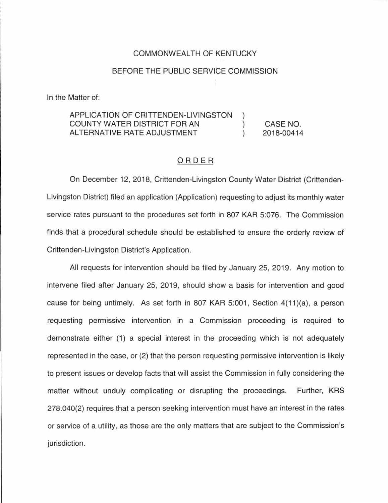## COMMONWEALTH OF KENTUCKY

## BEFORE THE PUBLIC SERVICE COMMISSION

In the Matter of:

#### APPLICATION OF CRITTENDEN-LIVINGSTON COUNTY WATER DISTRICT FOR AN  $\mathcal{L}$ CASE NO. ALTERNATIVE RATE ADJUSTMENT  $\lambda$ 2018-00414

## ORDER

On December 12, 2018, Crittenden-Livingston County Water District (Crittenden-Livingston District) filed an application (Application) requesting to adjust its monthly water service rates pursuant to the procedures set forth in 807 KAR 5:076. The Commission finds that a procedural schedule should be established to ensure the orderly review of Crittenden-Livingston District's Application.

All requests for intervention should be filed by January 25, 2019. Any motion to intervene filed after January 25, 2019, should show a basis for intervention and good cause for being untimely. As set forth in 807 KAR 5:001, Section 4(11)(a), a person requesting permissive intervention in a Commission proceeding is required to demonstrate either (1) a special interest in the proceeding which is not adequately represented in the case, or (2) that the person requesting permissive intervention is likely to present issues or develop facts that will assist the Commission in fully considering the matter without unduly complicating or disrupting the proceedings. Further, KRS 278.040(2) requires that a person seeking intervention must have an interest in the rates or service of a utility, as those are the only matters that are subject to the Commission's jurisdiction.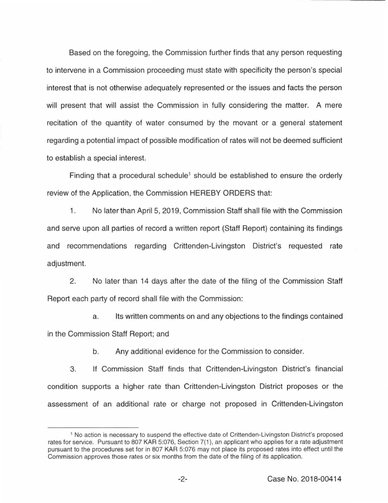Based on the foregoing, the Commission further finds that any person requesting to intervene in a Commission proceeding must state with specificity the person's special interest that is not otherwise adequately represented or the issues and facts the person will present that will assist the Commission in fully considering the matter. A mere recitation of the quantity of water consumed by the movant or a general statement regarding a potential impact of possible modification of rates will not be deemed sufficient to establish a special interest.

Finding that a procedural schedule<sup>1</sup> should be established to ensure the orderly review of the Application, the Commission HEREBY ORDERS that:

1. No later than April 5, 2019, Commission Staff shall file with the Commission and serve upon all parties of record a written report (Staff Report) containing its findings and recommendations regarding Crittenden-Livingston District's requested rate adjustment.

2. No later than 14 days after the date of the filing of the Commission Staff Report each party of record shall file with the Commission:

a. Its written comments on and any objections to the findings contained in the Commission Staff Report; and

b. Any additional evidence for the Commission to consider.

3. If Commission Staff finds that Crittenden-Livingston District's financial condition supports a higher rate than Crittenden-Livingston District proposes or the assessment of an additional rate or charge not proposed in Crittenden-Livingston

<sup>1</sup>No action is necessary to suspend the effective date of Crittenden-Livingston District's proposed rates for service. Pursuant to 807 KAR 5:076, Section 7(1), an applicant who applies for a rate adjustment pursuant to the procedures set for in 807 KAR 5:076 may not place its proposed rates into effect until the Commission approves those rates or six months from the date of the filing of its application.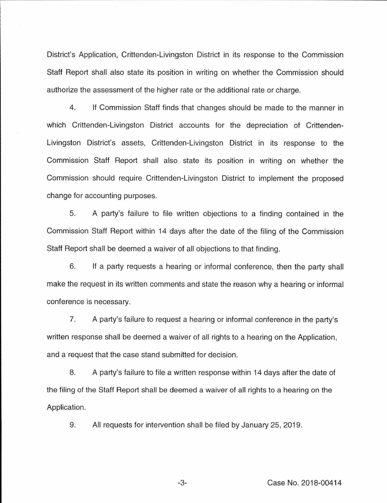District's Application, Crittenden-Livingston District in its response to the Commission Staff Report shall also state its position in writing on whether the Commission should authorize the assessment of the higher rate or the additional rate or charge.

4. If Commission Staff finds that changes should be made to the manner in which Crittenden-Livingston District accounts for the depreciation of Crittenden-Livingston District's assets, Crittenden-Livingston District in its response to the Commission Staff Report shall also state its position in writing on whether the Commission should require Crittenden-Livingston District to implement the proposed change for accounting purposes.

5. A party's failure to file written objections to a finding contained in the Commission Staff Report within 14 days after the date of the filing of the Commission Staff Report shall be deemed a waiver of all objections to that finding.

6. If a party requests a hearing or informal conference, then the party shall make the request in its written comments and state the reason why a hearing or informal conference is necessary.

7. A party's failure to request a hearing or informal conference in the party's written response shall be deemed a waiver of all rights to a hearing on the Application, and a request that the case stand submitted for decision.

8. A party's failure to file a written response within 14 days after the date of the filing of the Staff Report shall be deemed a waiver of all rights to a hearing on the Application.

9. All requests for intervention shall be filed by January 25, 2019.

-3- Case No. 2018-00414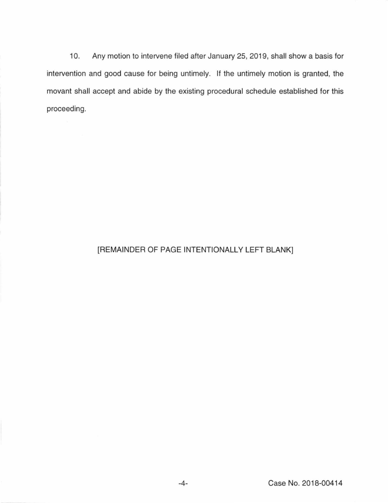10. Any motion to intervene filed after January 25, 2019, shall show a basis for intervention and good cause for being untimely. If the untimely motion is granted, the movant shall accept and abide by the existing procedural schedule established for this proceeding.

# [REMAINDER OF PAGE INTENTIONALLY LEFT BLANK]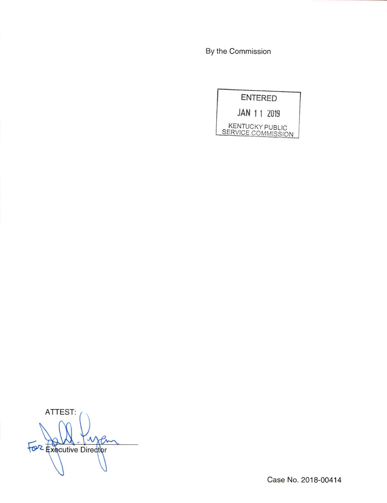By the Commission

**ENTERED** 

JAN 1 1 2019

KENTUCKY PUBLIC<br>SERVICE COMMISSION

ATTEST: For Executive Director

Case No. 2018-00414